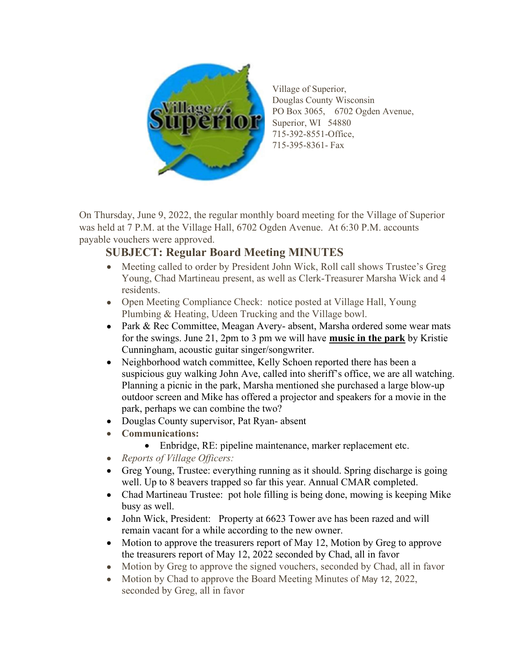

Village of Superior, Douglas County Wisconsin PO Box 3065, 6702 Ogden Avenue, Superior, WI 54880 715-392-8551-Office, 715-395-8361- Fax

On Thursday, June 9, 2022, the regular monthly board meeting for the Village of Superior was held at 7 P.M. at the Village Hall, 6702 Ogden Avenue. At 6:30 P.M. accounts payable vouchers were approved.

## SUBJECT: Regular Board Meeting MINUTES

- Meeting called to order by President John Wick, Roll call shows Trustee's Greg Young, Chad Martineau present, as well as Clerk-Treasurer Marsha Wick and 4 residents.
- Open Meeting Compliance Check: notice posted at Village Hall, Young Plumbing & Heating, Udeen Trucking and the Village bowl.
- Park & Rec Committee, Meagan Avery- absent, Marsha ordered some wear mats for the swings. June 21, 2pm to 3 pm we will have music in the park by Kristie Cunningham, acoustic guitar singer/songwriter.
- Neighborhood watch committee, Kelly Schoen reported there has been a suspicious guy walking John Ave, called into sheriff's office, we are all watching. Planning a picnic in the park, Marsha mentioned she purchased a large blow-up outdoor screen and Mike has offered a projector and speakers for a movie in the park, perhaps we can combine the two?
- Douglas County supervisor, Pat Ryan- absent
- Communications:
	- Enbridge, RE: pipeline maintenance, marker replacement etc.
- Reports of Village Officers:
- Greg Young, Trustee: everything running as it should. Spring discharge is going well. Up to 8 beavers trapped so far this year. Annual CMAR completed.
- Chad Martineau Trustee: pot hole filling is being done, mowing is keeping Mike busy as well.
- John Wick, President: Property at 6623 Tower ave has been razed and will remain vacant for a while according to the new owner.
- Motion to approve the treasurers report of May 12, Motion by Greg to approve the treasurers report of May 12, 2022 seconded by Chad, all in favor
- Motion by Greg to approve the signed vouchers, seconded by Chad, all in favor
- Motion by Chad to approve the Board Meeting Minutes of May 12, 2022, seconded by Greg, all in favor